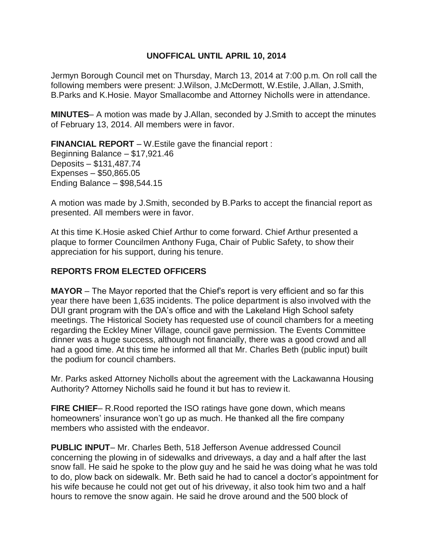### **UNOFFICAL UNTIL APRIL 10, 2014**

Jermyn Borough Council met on Thursday, March 13, 2014 at 7:00 p.m. On roll call the following members were present: J.Wilson, J.McDermott, W.Estile, J.Allan, J.Smith, B.Parks and K.Hosie. Mayor Smallacombe and Attorney Nicholls were in attendance.

**MINUTES**– A motion was made by J.Allan, seconded by J.Smith to accept the minutes of February 13, 2014. All members were in favor.

**FINANCIAL REPORT** – W.Estile gave the financial report : Beginning Balance – \$17,921.46 Deposits – \$131,487.74 Expenses – \$50,865.05 Ending Balance – \$98,544.15

A motion was made by J.Smith, seconded by B.Parks to accept the financial report as presented. All members were in favor.

At this time K.Hosie asked Chief Arthur to come forward. Chief Arthur presented a plaque to former Councilmen Anthony Fuga, Chair of Public Safety, to show their appreciation for his support, during his tenure.

# **REPORTS FROM ELECTED OFFICERS**

**MAYOR** – The Mayor reported that the Chief's report is very efficient and so far this year there have been 1,635 incidents. The police department is also involved with the DUI grant program with the DA's office and with the Lakeland High School safety meetings. The Historical Society has requested use of council chambers for a meeting regarding the Eckley Miner Village, council gave permission. The Events Committee dinner was a huge success, although not financially, there was a good crowd and all had a good time. At this time he informed all that Mr. Charles Beth (public input) built the podium for council chambers.

Mr. Parks asked Attorney Nicholls about the agreement with the Lackawanna Housing Authority? Attorney Nicholls said he found it but has to review it.

**FIRE CHIEF**– R. Rood reported the ISO ratings have gone down, which means homeowners' insurance won't go up as much. He thanked all the fire company members who assisted with the endeavor.

**PUBLIC INPUT**– Mr. Charles Beth, 518 Jefferson Avenue addressed Council concerning the plowing in of sidewalks and driveways, a day and a half after the last snow fall. He said he spoke to the plow guy and he said he was doing what he was told to do, plow back on sidewalk. Mr. Beth said he had to cancel a doctor's appointment for his wife because he could not get out of his driveway, it also took him two and a half hours to remove the snow again. He said he drove around and the 500 block of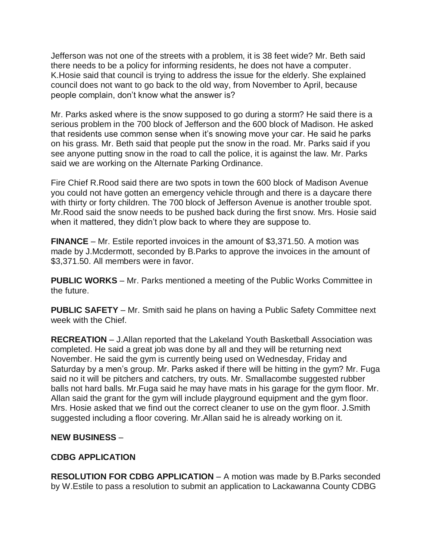Jefferson was not one of the streets with a problem, it is 38 feet wide? Mr. Beth said there needs to be a policy for informing residents, he does not have a computer. K.Hosie said that council is trying to address the issue for the elderly. She explained council does not want to go back to the old way, from November to April, because people complain, don't know what the answer is?

Mr. Parks asked where is the snow supposed to go during a storm? He said there is a serious problem in the 700 block of Jefferson and the 600 block of Madison. He asked that residents use common sense when it's snowing move your car. He said he parks on his grass. Mr. Beth said that people put the snow in the road. Mr. Parks said if you see anyone putting snow in the road to call the police, it is against the law. Mr. Parks said we are working on the Alternate Parking Ordinance.

Fire Chief R.Rood said there are two spots in town the 600 block of Madison Avenue you could not have gotten an emergency vehicle through and there is a daycare there with thirty or forty children. The 700 block of Jefferson Avenue is another trouble spot. Mr.Rood said the snow needs to be pushed back during the first snow. Mrs. Hosie said when it mattered, they didn't plow back to where they are suppose to.

**FINANCE** – Mr. Estile reported invoices in the amount of \$3,371.50. A motion was made by J.Mcdermott, seconded by B.Parks to approve the invoices in the amount of \$3,371.50. All members were in favor.

**PUBLIC WORKS** – Mr. Parks mentioned a meeting of the Public Works Committee in the future.

**PUBLIC SAFETY** – Mr. Smith said he plans on having a Public Safety Committee next week with the Chief.

**RECREATION** – J.Allan reported that the Lakeland Youth Basketball Association was completed. He said a great job was done by all and they will be returning next November. He said the gym is currently being used on Wednesday, Friday and Saturday by a men's group. Mr. Parks asked if there will be hitting in the gym? Mr. Fuga said no it will be pitchers and catchers, try outs. Mr. Smallacombe suggested rubber balls not hard balls. Mr.Fuga said he may have mats in his garage for the gym floor. Mr. Allan said the grant for the gym will include playground equipment and the gym floor. Mrs. Hosie asked that we find out the correct cleaner to use on the gym floor. J.Smith suggested including a floor covering. Mr.Allan said he is already working on it.

### **NEW BUSINESS** –

### **CDBG APPLICATION**

**RESOLUTION FOR CDBG APPLICATION** – A motion was made by B.Parks seconded by W.Estile to pass a resolution to submit an application to Lackawanna County CDBG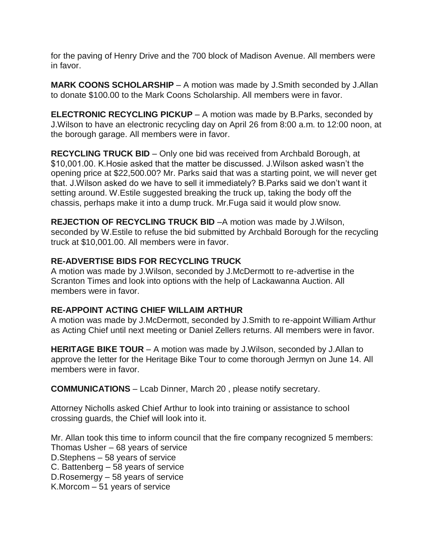for the paving of Henry Drive and the 700 block of Madison Avenue. All members were in favor.

**MARK COONS SCHOLARSHIP** – A motion was made by J.Smith seconded by J.Allan to donate \$100.00 to the Mark Coons Scholarship. All members were in favor.

**ELECTRONIC RECYCLING PICKUP** – A motion was made by B.Parks, seconded by J.Wilson to have an electronic recycling day on April 26 from 8:00 a.m. to 12:00 noon, at the borough garage. All members were in favor.

**RECYCLING TRUCK BID** – Only one bid was received from Archbald Borough, at \$10,001.00. K.Hosie asked that the matter be discussed. J.Wilson asked wasn't the opening price at \$22,500.00? Mr. Parks said that was a starting point, we will never get that. J.Wilson asked do we have to sell it immediately? B.Parks said we don't want it setting around. W.Estile suggested breaking the truck up, taking the body off the chassis, perhaps make it into a dump truck. Mr.Fuga said it would plow snow.

**REJECTION OF RECYCLING TRUCK BID** –A motion was made by J.Wilson, seconded by W.Estile to refuse the bid submitted by Archbald Borough for the recycling truck at \$10,001.00. All members were in favor.

# **RE-ADVERTISE BIDS FOR RECYCLING TRUCK**

A motion was made by J.Wilson, seconded by J.McDermott to re-advertise in the Scranton Times and look into options with the help of Lackawanna Auction. All members were in favor.

### **RE-APPOINT ACTING CHIEF WILLAIM ARTHUR**

A motion was made by J.McDermott, seconded by J.Smith to re-appoint William Arthur as Acting Chief until next meeting or Daniel Zellers returns. All members were in favor.

**HERITAGE BIKE TOUR** – A motion was made by J.Wilson, seconded by J.Allan to approve the letter for the Heritage Bike Tour to come thorough Jermyn on June 14. All members were in favor.

**COMMUNICATIONS** – Lcab Dinner, March 20 , please notify secretary.

Attorney Nicholls asked Chief Arthur to look into training or assistance to school crossing guards, the Chief will look into it.

Mr. Allan took this time to inform council that the fire company recognized 5 members: Thomas Usher – 68 years of service

D.Stephens – 58 years of service

C. Battenberg – 58 years of service

D.Rosemergy – 58 years of service

K.Morcom – 51 years of service